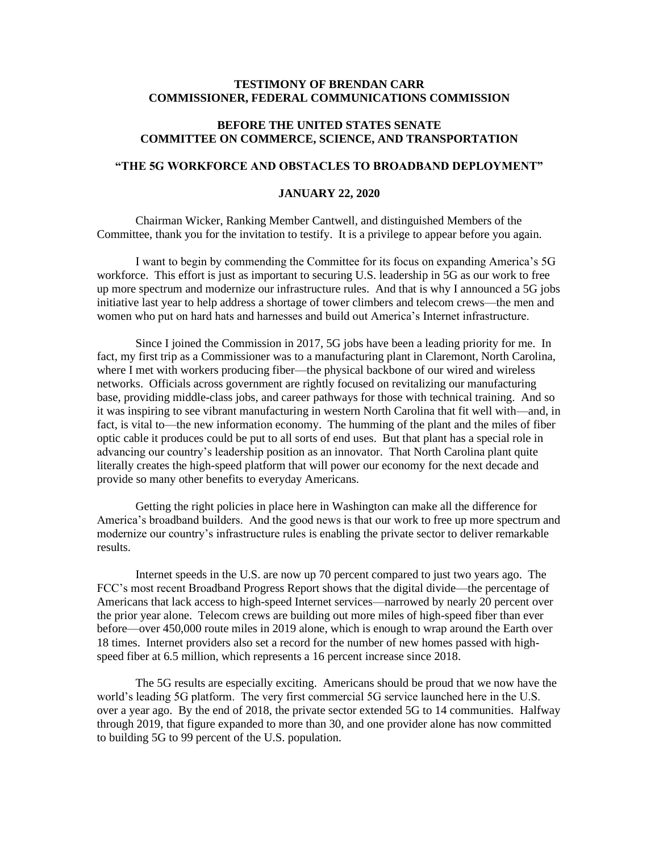## **TESTIMONY OF BRENDAN CARR COMMISSIONER, FEDERAL COMMUNICATIONS COMMISSION**

## **BEFORE THE UNITED STATES SENATE COMMITTEE ON COMMERCE, SCIENCE, AND TRANSPORTATION**

## **"THE 5G WORKFORCE AND OBSTACLES TO BROADBAND DEPLOYMENT"**

## **JANUARY 22, 2020**

Chairman Wicker, Ranking Member Cantwell, and distinguished Members of the Committee, thank you for the invitation to testify. It is a privilege to appear before you again.

I want to begin by commending the Committee for its focus on expanding America's 5G workforce. This effort is just as important to securing U.S. leadership in 5G as our work to free up more spectrum and modernize our infrastructure rules. And that is why I announced a 5G jobs initiative last year to help address a shortage of tower climbers and telecom crews—the men and women who put on hard hats and harnesses and build out America's Internet infrastructure.

Since I joined the Commission in 2017, 5G jobs have been a leading priority for me. In fact, my first trip as a Commissioner was to a manufacturing plant in Claremont, North Carolina, where I met with workers producing fiber—the physical backbone of our wired and wireless networks. Officials across government are rightly focused on revitalizing our manufacturing base, providing middle-class jobs, and career pathways for those with technical training. And so it was inspiring to see vibrant manufacturing in western North Carolina that fit well with—and, in fact, is vital to—the new information economy. The humming of the plant and the miles of fiber optic cable it produces could be put to all sorts of end uses. But that plant has a special role in advancing our country's leadership position as an innovator. That North Carolina plant quite literally creates the high-speed platform that will power our economy for the next decade and provide so many other benefits to everyday Americans.

Getting the right policies in place here in Washington can make all the difference for America's broadband builders. And the good news is that our work to free up more spectrum and modernize our country's infrastructure rules is enabling the private sector to deliver remarkable results.

Internet speeds in the U.S. are now up 70 percent compared to just two years ago. The FCC's most recent Broadband Progress Report shows that the digital divide—the percentage of Americans that lack access to high-speed Internet services—narrowed by nearly 20 percent over the prior year alone. Telecom crews are building out more miles of high-speed fiber than ever before—over 450,000 route miles in 2019 alone, which is enough to wrap around the Earth over 18 times. Internet providers also set a record for the number of new homes passed with highspeed fiber at 6.5 million, which represents a 16 percent increase since 2018.

The 5G results are especially exciting. Americans should be proud that we now have the world's leading 5G platform. The very first commercial 5G service launched here in the U.S. over a year ago. By the end of 2018, the private sector extended 5G to 14 communities. Halfway through 2019, that figure expanded to more than 30, and one provider alone has now committed to building 5G to 99 percent of the U.S. population.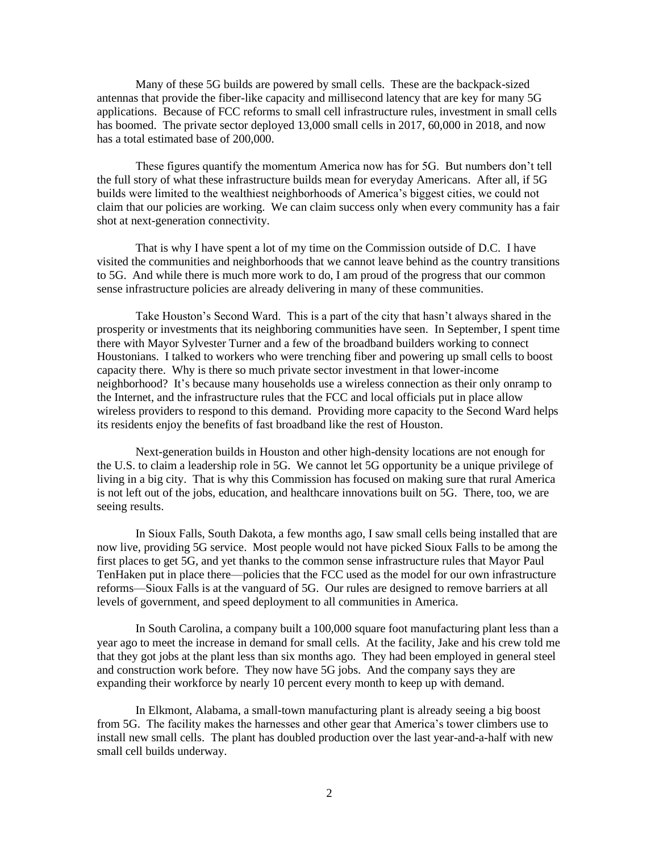Many of these 5G builds are powered by small cells. These are the backpack-sized antennas that provide the fiber-like capacity and millisecond latency that are key for many 5G applications. Because of FCC reforms to small cell infrastructure rules, investment in small cells has boomed. The private sector deployed 13,000 small cells in 2017, 60,000 in 2018, and now has a total estimated base of 200,000.

These figures quantify the momentum America now has for 5G. But numbers don't tell the full story of what these infrastructure builds mean for everyday Americans. After all, if 5G builds were limited to the wealthiest neighborhoods of America's biggest cities, we could not claim that our policies are working. We can claim success only when every community has a fair shot at next-generation connectivity.

That is why I have spent a lot of my time on the Commission outside of D.C. I have visited the communities and neighborhoods that we cannot leave behind as the country transitions to 5G. And while there is much more work to do, I am proud of the progress that our common sense infrastructure policies are already delivering in many of these communities.

Take Houston's Second Ward. This is a part of the city that hasn't always shared in the prosperity or investments that its neighboring communities have seen. In September, I spent time there with Mayor Sylvester Turner and a few of the broadband builders working to connect Houstonians. I talked to workers who were trenching fiber and powering up small cells to boost capacity there. Why is there so much private sector investment in that lower-income neighborhood? It's because many households use a wireless connection as their only onramp to the Internet, and the infrastructure rules that the FCC and local officials put in place allow wireless providers to respond to this demand. Providing more capacity to the Second Ward helps its residents enjoy the benefits of fast broadband like the rest of Houston.

Next-generation builds in Houston and other high-density locations are not enough for the U.S. to claim a leadership role in 5G. We cannot let 5G opportunity be a unique privilege of living in a big city. That is why this Commission has focused on making sure that rural America is not left out of the jobs, education, and healthcare innovations built on 5G. There, too, we are seeing results.

In Sioux Falls, South Dakota, a few months ago, I saw small cells being installed that are now live, providing 5G service. Most people would not have picked Sioux Falls to be among the first places to get 5G, and yet thanks to the common sense infrastructure rules that Mayor Paul TenHaken put in place there—policies that the FCC used as the model for our own infrastructure reforms—Sioux Falls is at the vanguard of 5G. Our rules are designed to remove barriers at all levels of government, and speed deployment to all communities in America.

In South Carolina, a company built a 100,000 square foot manufacturing plant less than a year ago to meet the increase in demand for small cells. At the facility, Jake and his crew told me that they got jobs at the plant less than six months ago. They had been employed in general steel and construction work before. They now have 5G jobs. And the company says they are expanding their workforce by nearly 10 percent every month to keep up with demand.

In Elkmont, Alabama, a small-town manufacturing plant is already seeing a big boost from 5G. The facility makes the harnesses and other gear that America's tower climbers use to install new small cells. The plant has doubled production over the last year-and-a-half with new small cell builds underway.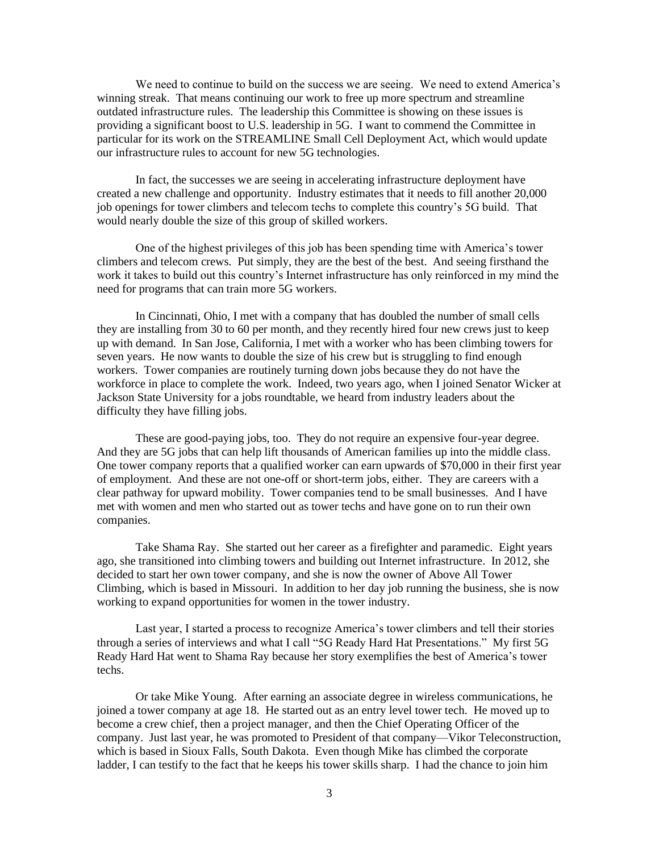We need to continue to build on the success we are seeing. We need to extend America's winning streak. That means continuing our work to free up more spectrum and streamline outdated infrastructure rules. The leadership this Committee is showing on these issues is providing a significant boost to U.S. leadership in 5G. I want to commend the Committee in particular for its work on the STREAMLINE Small Cell Deployment Act, which would update our infrastructure rules to account for new 5G technologies.

In fact, the successes we are seeing in accelerating infrastructure deployment have created a new challenge and opportunity. Industry estimates that it needs to fill another 20,000 job openings for tower climbers and telecom techs to complete this country's 5G build. That would nearly double the size of this group of skilled workers.

One of the highest privileges of this job has been spending time with America's tower climbers and telecom crews. Put simply, they are the best of the best. And seeing firsthand the work it takes to build out this country's Internet infrastructure has only reinforced in my mind the need for programs that can train more 5G workers.

In Cincinnati, Ohio, I met with a company that has doubled the number of small cells they are installing from 30 to 60 per month, and they recently hired four new crews just to keep up with demand. In San Jose, California, I met with a worker who has been climbing towers for seven years. He now wants to double the size of his crew but is struggling to find enough workers. Tower companies are routinely turning down jobs because they do not have the workforce in place to complete the work. Indeed, two years ago, when I joined Senator Wicker at Jackson State University for a jobs roundtable, we heard from industry leaders about the difficulty they have filling jobs.

These are good-paying jobs, too. They do not require an expensive four-year degree. And they are 5G jobs that can help lift thousands of American families up into the middle class. One tower company reports that a qualified worker can earn upwards of \$70,000 in their first year of employment. And these are not one-off or short-term jobs, either. They are careers with a clear pathway for upward mobility. Tower companies tend to be small businesses. And I have met with women and men who started out as tower techs and have gone on to run their own companies.

Take Shama Ray. She started out her career as a firefighter and paramedic. Eight years ago, she transitioned into climbing towers and building out Internet infrastructure. In 2012, she decided to start her own tower company, and she is now the owner of Above All Tower Climbing, which is based in Missouri. In addition to her day job running the business, she is now working to expand opportunities for women in the tower industry.

Last year, I started a process to recognize America's tower climbers and tell their stories through a series of interviews and what I call "5G Ready Hard Hat Presentations." My first 5G Ready Hard Hat went to Shama Ray because her story exemplifies the best of America's tower techs.

Or take Mike Young. After earning an associate degree in wireless communications, he joined a tower company at age 18. He started out as an entry level tower tech. He moved up to become a crew chief, then a project manager, and then the Chief Operating Officer of the company. Just last year, he was promoted to President of that company—Vikor Teleconstruction, which is based in Sioux Falls, South Dakota. Even though Mike has climbed the corporate ladder, I can testify to the fact that he keeps his tower skills sharp. I had the chance to join him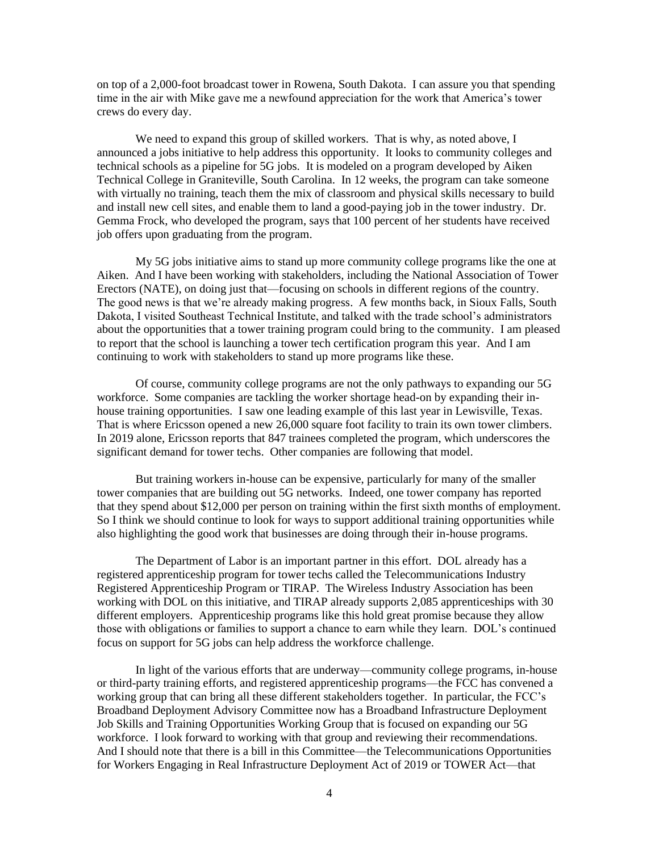on top of a 2,000-foot broadcast tower in Rowena, South Dakota. I can assure you that spending time in the air with Mike gave me a newfound appreciation for the work that America's tower crews do every day.

We need to expand this group of skilled workers. That is why, as noted above, I announced a jobs initiative to help address this opportunity. It looks to community colleges and technical schools as a pipeline for 5G jobs. It is modeled on a program developed by Aiken Technical College in Graniteville, South Carolina. In 12 weeks, the program can take someone with virtually no training, teach them the mix of classroom and physical skills necessary to build and install new cell sites, and enable them to land a good-paying job in the tower industry. Dr. Gemma Frock, who developed the program, says that 100 percent of her students have received job offers upon graduating from the program.

My 5G jobs initiative aims to stand up more community college programs like the one at Aiken. And I have been working with stakeholders, including the National Association of Tower Erectors (NATE), on doing just that—focusing on schools in different regions of the country. The good news is that we're already making progress. A few months back, in Sioux Falls, South Dakota, I visited Southeast Technical Institute, and talked with the trade school's administrators about the opportunities that a tower training program could bring to the community. I am pleased to report that the school is launching a tower tech certification program this year. And I am continuing to work with stakeholders to stand up more programs like these.

Of course, community college programs are not the only pathways to expanding our 5G workforce. Some companies are tackling the worker shortage head-on by expanding their inhouse training opportunities. I saw one leading example of this last year in Lewisville, Texas. That is where Ericsson opened a new 26,000 square foot facility to train its own tower climbers. In 2019 alone, Ericsson reports that 847 trainees completed the program, which underscores the significant demand for tower techs. Other companies are following that model.

But training workers in-house can be expensive, particularly for many of the smaller tower companies that are building out 5G networks. Indeed, one tower company has reported that they spend about \$12,000 per person on training within the first sixth months of employment. So I think we should continue to look for ways to support additional training opportunities while also highlighting the good work that businesses are doing through their in-house programs.

The Department of Labor is an important partner in this effort. DOL already has a registered apprenticeship program for tower techs called the Telecommunications Industry Registered Apprenticeship Program or TIRAP. The Wireless Industry Association has been working with DOL on this initiative, and TIRAP already supports 2,085 apprenticeships with 30 different employers. Apprenticeship programs like this hold great promise because they allow those with obligations or families to support a chance to earn while they learn. DOL's continued focus on support for 5G jobs can help address the workforce challenge.

In light of the various efforts that are underway—community college programs, in-house or third-party training efforts, and registered apprenticeship programs—the FCC has convened a working group that can bring all these different stakeholders together. In particular, the FCC's Broadband Deployment Advisory Committee now has a Broadband Infrastructure Deployment Job Skills and Training Opportunities Working Group that is focused on expanding our 5G workforce. I look forward to working with that group and reviewing their recommendations. And I should note that there is a bill in this Committee—the Telecommunications Opportunities for Workers Engaging in Real Infrastructure Deployment Act of 2019 or TOWER Act—that